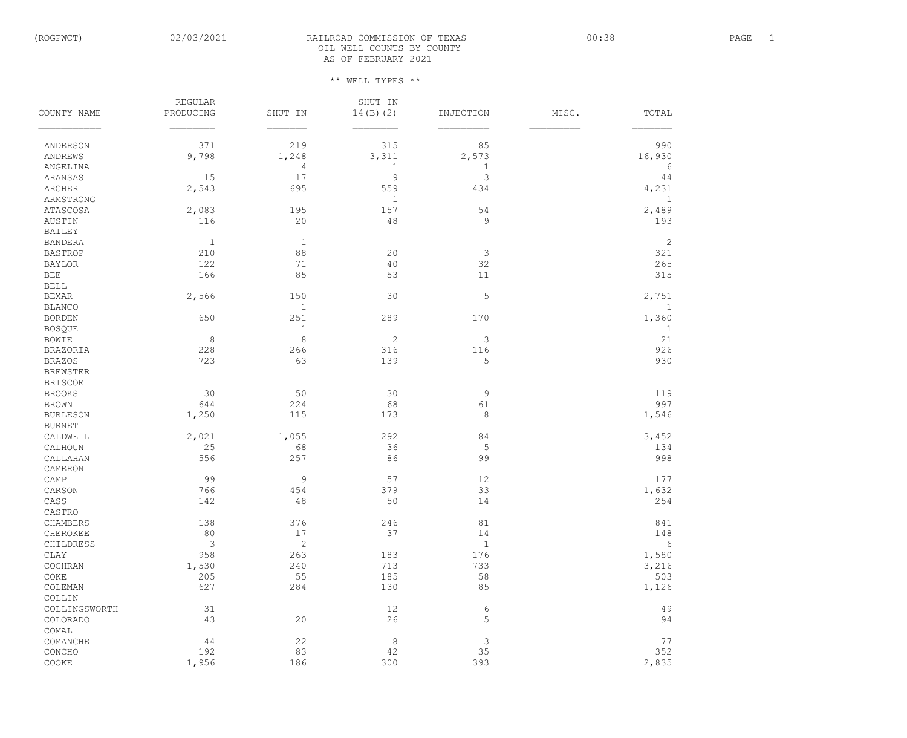## (ROGPWCT) 02/03/2021 RAILROAD COMMISSION OF TEXAS 00:38 00:38 PAGE 1 OIL WELL COUNTS BY COUNTY AS OF FEBRUARY 2021

| 219<br>315<br>371<br>85<br>990<br>ANDERSON<br>9,798<br>1,248<br>3,311<br>2,573<br>16,930<br>ANDREWS<br>$\mathbf 1$<br>ANGELINA<br>$\sqrt{4}$<br>$1\,$<br>6<br>17<br>$\mathfrak{Z}$<br>$\mathcal{G}$<br>15<br>ARANSAS<br>44<br>2,543<br>695<br>559<br>434<br>4,231<br><b>ARCHER</b><br>$\mathbf 1$<br>$\mathbf{1}$<br>ARMSTRONG<br>157<br>54<br>2,489<br><b>ATASCOSA</b><br>2,083<br>195<br>$\mathsf 9$<br>116<br>20<br>$4\,8$<br>AUSTIN<br>193<br><b>BAILEY</b><br>$\mathbf{1}$<br>$\mathbf{1}$<br>2<br><b>BANDERA</b><br>$8\,8$<br>$\mathfrak{Z}$<br>210<br>20<br>321<br><b>BASTROP</b><br>32<br>122<br>71<br>40<br>265<br><b>BAYLOR</b><br>85<br><b>BEE</b><br>166<br>53<br>$11$<br>315<br><b>BELL</b><br>$\mathsf S$<br>2,566<br>30<br><b>BEXAR</b><br>150<br>2,751<br>$1\,$<br><b>BLANCO</b><br>$\mathbf 1$<br>289<br>170<br>1,360<br><b>BORDEN</b><br>650<br>251<br><b>BOSQUE</b><br>$1\,$<br>$\mathbf{1}$<br>$\,8\,$<br>$\mathcal{S}$<br>8<br>2<br>21<br><b>BOWIE</b><br>228<br>266<br>116<br>926<br>316<br><b>BRAZORIA</b><br>5<br>723<br>63<br>139<br>930<br><b>BRAZOS</b><br><b>BREWSTER</b><br><b>BRISCOE</b><br>30<br>30<br>$\mathsf 9$<br>119<br><b>BROOKS</b><br>50<br>997<br>644<br>224<br>68<br>61<br><b>BROWN</b><br>$\,8\,$<br>115<br><b>BURLESON</b><br>1,250<br>173<br>1,546<br><b>BURNET</b><br>84<br>CALDWELL<br>2,021<br>1,055<br>292<br>3,452<br>5<br>36<br>25<br>68<br>CALHOUN<br>134<br>99<br>CALLAHAN<br>556<br>257<br>86<br>998<br>CAMERON<br>99<br>$\mathsf 9$<br>$12$<br>CAMP<br>57<br>177<br>766<br>33<br>1,632<br>379<br>CARSON<br>454<br>142<br>48<br>50<br>14<br>CASS<br>254<br>CASTRO<br>376<br>246<br>138<br>81<br>841<br>CHAMBERS<br>80<br>17<br>37<br>14<br>148<br>CHEROKEE<br>$\mathbf{2}$<br>3<br>$\mathbf{1}$<br>6<br>CHILDRESS<br>958<br>176<br>1,580<br>CLAY<br>263<br>183<br>240<br>713<br>733<br>COCHRAN<br>1,530<br>3,216<br>58<br>205<br>55<br>185<br>$\texttt{COKE}$<br>503<br>85<br>627<br>284<br>130<br>1,126<br>COLEMAN<br>COLLIN<br>$\sqrt{6}$<br>31<br>12<br>49<br>COLLINGSWORTH<br>5<br>43<br>20<br>26<br>94<br>COLORADO<br>COMAL<br>$\mathfrak{Z}$<br>$\,8\,$<br>22<br>77<br>44<br>COMANCHE<br>35<br>83<br>42<br>352<br>192<br>CONCHO<br>186<br>300<br>393<br>2,835<br>$\texttt{COOKE}$<br>1,956 |             | <b>REGULAR</b> |         | SHUT-IN   |           |       |       |
|--------------------------------------------------------------------------------------------------------------------------------------------------------------------------------------------------------------------------------------------------------------------------------------------------------------------------------------------------------------------------------------------------------------------------------------------------------------------------------------------------------------------------------------------------------------------------------------------------------------------------------------------------------------------------------------------------------------------------------------------------------------------------------------------------------------------------------------------------------------------------------------------------------------------------------------------------------------------------------------------------------------------------------------------------------------------------------------------------------------------------------------------------------------------------------------------------------------------------------------------------------------------------------------------------------------------------------------------------------------------------------------------------------------------------------------------------------------------------------------------------------------------------------------------------------------------------------------------------------------------------------------------------------------------------------------------------------------------------------------------------------------------------------------------------------------------------------------------------------------------------------------------------------------------------------------------------------------------------------------------------------------------------------------------------------------------------------------------------------------------------------------------------------------------------------------------------------------------------------------------------------|-------------|----------------|---------|-----------|-----------|-------|-------|
|                                                                                                                                                                                                                                                                                                                                                                                                                                                                                                                                                                                                                                                                                                                                                                                                                                                                                                                                                                                                                                                                                                                                                                                                                                                                                                                                                                                                                                                                                                                                                                                                                                                                                                                                                                                                                                                                                                                                                                                                                                                                                                                                                                                                                                                        | COUNTY NAME | PRODUCING      | SHUT-IN | 14(B) (2) | INJECTION | MISC. | TOTAL |
|                                                                                                                                                                                                                                                                                                                                                                                                                                                                                                                                                                                                                                                                                                                                                                                                                                                                                                                                                                                                                                                                                                                                                                                                                                                                                                                                                                                                                                                                                                                                                                                                                                                                                                                                                                                                                                                                                                                                                                                                                                                                                                                                                                                                                                                        |             |                |         |           |           |       |       |
|                                                                                                                                                                                                                                                                                                                                                                                                                                                                                                                                                                                                                                                                                                                                                                                                                                                                                                                                                                                                                                                                                                                                                                                                                                                                                                                                                                                                                                                                                                                                                                                                                                                                                                                                                                                                                                                                                                                                                                                                                                                                                                                                                                                                                                                        |             |                |         |           |           |       |       |
|                                                                                                                                                                                                                                                                                                                                                                                                                                                                                                                                                                                                                                                                                                                                                                                                                                                                                                                                                                                                                                                                                                                                                                                                                                                                                                                                                                                                                                                                                                                                                                                                                                                                                                                                                                                                                                                                                                                                                                                                                                                                                                                                                                                                                                                        |             |                |         |           |           |       |       |
|                                                                                                                                                                                                                                                                                                                                                                                                                                                                                                                                                                                                                                                                                                                                                                                                                                                                                                                                                                                                                                                                                                                                                                                                                                                                                                                                                                                                                                                                                                                                                                                                                                                                                                                                                                                                                                                                                                                                                                                                                                                                                                                                                                                                                                                        |             |                |         |           |           |       |       |
|                                                                                                                                                                                                                                                                                                                                                                                                                                                                                                                                                                                                                                                                                                                                                                                                                                                                                                                                                                                                                                                                                                                                                                                                                                                                                                                                                                                                                                                                                                                                                                                                                                                                                                                                                                                                                                                                                                                                                                                                                                                                                                                                                                                                                                                        |             |                |         |           |           |       |       |
|                                                                                                                                                                                                                                                                                                                                                                                                                                                                                                                                                                                                                                                                                                                                                                                                                                                                                                                                                                                                                                                                                                                                                                                                                                                                                                                                                                                                                                                                                                                                                                                                                                                                                                                                                                                                                                                                                                                                                                                                                                                                                                                                                                                                                                                        |             |                |         |           |           |       |       |
|                                                                                                                                                                                                                                                                                                                                                                                                                                                                                                                                                                                                                                                                                                                                                                                                                                                                                                                                                                                                                                                                                                                                                                                                                                                                                                                                                                                                                                                                                                                                                                                                                                                                                                                                                                                                                                                                                                                                                                                                                                                                                                                                                                                                                                                        |             |                |         |           |           |       |       |
|                                                                                                                                                                                                                                                                                                                                                                                                                                                                                                                                                                                                                                                                                                                                                                                                                                                                                                                                                                                                                                                                                                                                                                                                                                                                                                                                                                                                                                                                                                                                                                                                                                                                                                                                                                                                                                                                                                                                                                                                                                                                                                                                                                                                                                                        |             |                |         |           |           |       |       |
|                                                                                                                                                                                                                                                                                                                                                                                                                                                                                                                                                                                                                                                                                                                                                                                                                                                                                                                                                                                                                                                                                                                                                                                                                                                                                                                                                                                                                                                                                                                                                                                                                                                                                                                                                                                                                                                                                                                                                                                                                                                                                                                                                                                                                                                        |             |                |         |           |           |       |       |
|                                                                                                                                                                                                                                                                                                                                                                                                                                                                                                                                                                                                                                                                                                                                                                                                                                                                                                                                                                                                                                                                                                                                                                                                                                                                                                                                                                                                                                                                                                                                                                                                                                                                                                                                                                                                                                                                                                                                                                                                                                                                                                                                                                                                                                                        |             |                |         |           |           |       |       |
|                                                                                                                                                                                                                                                                                                                                                                                                                                                                                                                                                                                                                                                                                                                                                                                                                                                                                                                                                                                                                                                                                                                                                                                                                                                                                                                                                                                                                                                                                                                                                                                                                                                                                                                                                                                                                                                                                                                                                                                                                                                                                                                                                                                                                                                        |             |                |         |           |           |       |       |
|                                                                                                                                                                                                                                                                                                                                                                                                                                                                                                                                                                                                                                                                                                                                                                                                                                                                                                                                                                                                                                                                                                                                                                                                                                                                                                                                                                                                                                                                                                                                                                                                                                                                                                                                                                                                                                                                                                                                                                                                                                                                                                                                                                                                                                                        |             |                |         |           |           |       |       |
|                                                                                                                                                                                                                                                                                                                                                                                                                                                                                                                                                                                                                                                                                                                                                                                                                                                                                                                                                                                                                                                                                                                                                                                                                                                                                                                                                                                                                                                                                                                                                                                                                                                                                                                                                                                                                                                                                                                                                                                                                                                                                                                                                                                                                                                        |             |                |         |           |           |       |       |
|                                                                                                                                                                                                                                                                                                                                                                                                                                                                                                                                                                                                                                                                                                                                                                                                                                                                                                                                                                                                                                                                                                                                                                                                                                                                                                                                                                                                                                                                                                                                                                                                                                                                                                                                                                                                                                                                                                                                                                                                                                                                                                                                                                                                                                                        |             |                |         |           |           |       |       |
|                                                                                                                                                                                                                                                                                                                                                                                                                                                                                                                                                                                                                                                                                                                                                                                                                                                                                                                                                                                                                                                                                                                                                                                                                                                                                                                                                                                                                                                                                                                                                                                                                                                                                                                                                                                                                                                                                                                                                                                                                                                                                                                                                                                                                                                        |             |                |         |           |           |       |       |
|                                                                                                                                                                                                                                                                                                                                                                                                                                                                                                                                                                                                                                                                                                                                                                                                                                                                                                                                                                                                                                                                                                                                                                                                                                                                                                                                                                                                                                                                                                                                                                                                                                                                                                                                                                                                                                                                                                                                                                                                                                                                                                                                                                                                                                                        |             |                |         |           |           |       |       |
|                                                                                                                                                                                                                                                                                                                                                                                                                                                                                                                                                                                                                                                                                                                                                                                                                                                                                                                                                                                                                                                                                                                                                                                                                                                                                                                                                                                                                                                                                                                                                                                                                                                                                                                                                                                                                                                                                                                                                                                                                                                                                                                                                                                                                                                        |             |                |         |           |           |       |       |
|                                                                                                                                                                                                                                                                                                                                                                                                                                                                                                                                                                                                                                                                                                                                                                                                                                                                                                                                                                                                                                                                                                                                                                                                                                                                                                                                                                                                                                                                                                                                                                                                                                                                                                                                                                                                                                                                                                                                                                                                                                                                                                                                                                                                                                                        |             |                |         |           |           |       |       |
|                                                                                                                                                                                                                                                                                                                                                                                                                                                                                                                                                                                                                                                                                                                                                                                                                                                                                                                                                                                                                                                                                                                                                                                                                                                                                                                                                                                                                                                                                                                                                                                                                                                                                                                                                                                                                                                                                                                                                                                                                                                                                                                                                                                                                                                        |             |                |         |           |           |       |       |
|                                                                                                                                                                                                                                                                                                                                                                                                                                                                                                                                                                                                                                                                                                                                                                                                                                                                                                                                                                                                                                                                                                                                                                                                                                                                                                                                                                                                                                                                                                                                                                                                                                                                                                                                                                                                                                                                                                                                                                                                                                                                                                                                                                                                                                                        |             |                |         |           |           |       |       |
|                                                                                                                                                                                                                                                                                                                                                                                                                                                                                                                                                                                                                                                                                                                                                                                                                                                                                                                                                                                                                                                                                                                                                                                                                                                                                                                                                                                                                                                                                                                                                                                                                                                                                                                                                                                                                                                                                                                                                                                                                                                                                                                                                                                                                                                        |             |                |         |           |           |       |       |
|                                                                                                                                                                                                                                                                                                                                                                                                                                                                                                                                                                                                                                                                                                                                                                                                                                                                                                                                                                                                                                                                                                                                                                                                                                                                                                                                                                                                                                                                                                                                                                                                                                                                                                                                                                                                                                                                                                                                                                                                                                                                                                                                                                                                                                                        |             |                |         |           |           |       |       |
|                                                                                                                                                                                                                                                                                                                                                                                                                                                                                                                                                                                                                                                                                                                                                                                                                                                                                                                                                                                                                                                                                                                                                                                                                                                                                                                                                                                                                                                                                                                                                                                                                                                                                                                                                                                                                                                                                                                                                                                                                                                                                                                                                                                                                                                        |             |                |         |           |           |       |       |
|                                                                                                                                                                                                                                                                                                                                                                                                                                                                                                                                                                                                                                                                                                                                                                                                                                                                                                                                                                                                                                                                                                                                                                                                                                                                                                                                                                                                                                                                                                                                                                                                                                                                                                                                                                                                                                                                                                                                                                                                                                                                                                                                                                                                                                                        |             |                |         |           |           |       |       |
|                                                                                                                                                                                                                                                                                                                                                                                                                                                                                                                                                                                                                                                                                                                                                                                                                                                                                                                                                                                                                                                                                                                                                                                                                                                                                                                                                                                                                                                                                                                                                                                                                                                                                                                                                                                                                                                                                                                                                                                                                                                                                                                                                                                                                                                        |             |                |         |           |           |       |       |
|                                                                                                                                                                                                                                                                                                                                                                                                                                                                                                                                                                                                                                                                                                                                                                                                                                                                                                                                                                                                                                                                                                                                                                                                                                                                                                                                                                                                                                                                                                                                                                                                                                                                                                                                                                                                                                                                                                                                                                                                                                                                                                                                                                                                                                                        |             |                |         |           |           |       |       |
|                                                                                                                                                                                                                                                                                                                                                                                                                                                                                                                                                                                                                                                                                                                                                                                                                                                                                                                                                                                                                                                                                                                                                                                                                                                                                                                                                                                                                                                                                                                                                                                                                                                                                                                                                                                                                                                                                                                                                                                                                                                                                                                                                                                                                                                        |             |                |         |           |           |       |       |
|                                                                                                                                                                                                                                                                                                                                                                                                                                                                                                                                                                                                                                                                                                                                                                                                                                                                                                                                                                                                                                                                                                                                                                                                                                                                                                                                                                                                                                                                                                                                                                                                                                                                                                                                                                                                                                                                                                                                                                                                                                                                                                                                                                                                                                                        |             |                |         |           |           |       |       |
|                                                                                                                                                                                                                                                                                                                                                                                                                                                                                                                                                                                                                                                                                                                                                                                                                                                                                                                                                                                                                                                                                                                                                                                                                                                                                                                                                                                                                                                                                                                                                                                                                                                                                                                                                                                                                                                                                                                                                                                                                                                                                                                                                                                                                                                        |             |                |         |           |           |       |       |
|                                                                                                                                                                                                                                                                                                                                                                                                                                                                                                                                                                                                                                                                                                                                                                                                                                                                                                                                                                                                                                                                                                                                                                                                                                                                                                                                                                                                                                                                                                                                                                                                                                                                                                                                                                                                                                                                                                                                                                                                                                                                                                                                                                                                                                                        |             |                |         |           |           |       |       |
|                                                                                                                                                                                                                                                                                                                                                                                                                                                                                                                                                                                                                                                                                                                                                                                                                                                                                                                                                                                                                                                                                                                                                                                                                                                                                                                                                                                                                                                                                                                                                                                                                                                                                                                                                                                                                                                                                                                                                                                                                                                                                                                                                                                                                                                        |             |                |         |           |           |       |       |
|                                                                                                                                                                                                                                                                                                                                                                                                                                                                                                                                                                                                                                                                                                                                                                                                                                                                                                                                                                                                                                                                                                                                                                                                                                                                                                                                                                                                                                                                                                                                                                                                                                                                                                                                                                                                                                                                                                                                                                                                                                                                                                                                                                                                                                                        |             |                |         |           |           |       |       |
|                                                                                                                                                                                                                                                                                                                                                                                                                                                                                                                                                                                                                                                                                                                                                                                                                                                                                                                                                                                                                                                                                                                                                                                                                                                                                                                                                                                                                                                                                                                                                                                                                                                                                                                                                                                                                                                                                                                                                                                                                                                                                                                                                                                                                                                        |             |                |         |           |           |       |       |
|                                                                                                                                                                                                                                                                                                                                                                                                                                                                                                                                                                                                                                                                                                                                                                                                                                                                                                                                                                                                                                                                                                                                                                                                                                                                                                                                                                                                                                                                                                                                                                                                                                                                                                                                                                                                                                                                                                                                                                                                                                                                                                                                                                                                                                                        |             |                |         |           |           |       |       |
|                                                                                                                                                                                                                                                                                                                                                                                                                                                                                                                                                                                                                                                                                                                                                                                                                                                                                                                                                                                                                                                                                                                                                                                                                                                                                                                                                                                                                                                                                                                                                                                                                                                                                                                                                                                                                                                                                                                                                                                                                                                                                                                                                                                                                                                        |             |                |         |           |           |       |       |
|                                                                                                                                                                                                                                                                                                                                                                                                                                                                                                                                                                                                                                                                                                                                                                                                                                                                                                                                                                                                                                                                                                                                                                                                                                                                                                                                                                                                                                                                                                                                                                                                                                                                                                                                                                                                                                                                                                                                                                                                                                                                                                                                                                                                                                                        |             |                |         |           |           |       |       |
|                                                                                                                                                                                                                                                                                                                                                                                                                                                                                                                                                                                                                                                                                                                                                                                                                                                                                                                                                                                                                                                                                                                                                                                                                                                                                                                                                                                                                                                                                                                                                                                                                                                                                                                                                                                                                                                                                                                                                                                                                                                                                                                                                                                                                                                        |             |                |         |           |           |       |       |
|                                                                                                                                                                                                                                                                                                                                                                                                                                                                                                                                                                                                                                                                                                                                                                                                                                                                                                                                                                                                                                                                                                                                                                                                                                                                                                                                                                                                                                                                                                                                                                                                                                                                                                                                                                                                                                                                                                                                                                                                                                                                                                                                                                                                                                                        |             |                |         |           |           |       |       |
|                                                                                                                                                                                                                                                                                                                                                                                                                                                                                                                                                                                                                                                                                                                                                                                                                                                                                                                                                                                                                                                                                                                                                                                                                                                                                                                                                                                                                                                                                                                                                                                                                                                                                                                                                                                                                                                                                                                                                                                                                                                                                                                                                                                                                                                        |             |                |         |           |           |       |       |
|                                                                                                                                                                                                                                                                                                                                                                                                                                                                                                                                                                                                                                                                                                                                                                                                                                                                                                                                                                                                                                                                                                                                                                                                                                                                                                                                                                                                                                                                                                                                                                                                                                                                                                                                                                                                                                                                                                                                                                                                                                                                                                                                                                                                                                                        |             |                |         |           |           |       |       |
|                                                                                                                                                                                                                                                                                                                                                                                                                                                                                                                                                                                                                                                                                                                                                                                                                                                                                                                                                                                                                                                                                                                                                                                                                                                                                                                                                                                                                                                                                                                                                                                                                                                                                                                                                                                                                                                                                                                                                                                                                                                                                                                                                                                                                                                        |             |                |         |           |           |       |       |
|                                                                                                                                                                                                                                                                                                                                                                                                                                                                                                                                                                                                                                                                                                                                                                                                                                                                                                                                                                                                                                                                                                                                                                                                                                                                                                                                                                                                                                                                                                                                                                                                                                                                                                                                                                                                                                                                                                                                                                                                                                                                                                                                                                                                                                                        |             |                |         |           |           |       |       |
|                                                                                                                                                                                                                                                                                                                                                                                                                                                                                                                                                                                                                                                                                                                                                                                                                                                                                                                                                                                                                                                                                                                                                                                                                                                                                                                                                                                                                                                                                                                                                                                                                                                                                                                                                                                                                                                                                                                                                                                                                                                                                                                                                                                                                                                        |             |                |         |           |           |       |       |
|                                                                                                                                                                                                                                                                                                                                                                                                                                                                                                                                                                                                                                                                                                                                                                                                                                                                                                                                                                                                                                                                                                                                                                                                                                                                                                                                                                                                                                                                                                                                                                                                                                                                                                                                                                                                                                                                                                                                                                                                                                                                                                                                                                                                                                                        |             |                |         |           |           |       |       |
|                                                                                                                                                                                                                                                                                                                                                                                                                                                                                                                                                                                                                                                                                                                                                                                                                                                                                                                                                                                                                                                                                                                                                                                                                                                                                                                                                                                                                                                                                                                                                                                                                                                                                                                                                                                                                                                                                                                                                                                                                                                                                                                                                                                                                                                        |             |                |         |           |           |       |       |
|                                                                                                                                                                                                                                                                                                                                                                                                                                                                                                                                                                                                                                                                                                                                                                                                                                                                                                                                                                                                                                                                                                                                                                                                                                                                                                                                                                                                                                                                                                                                                                                                                                                                                                                                                                                                                                                                                                                                                                                                                                                                                                                                                                                                                                                        |             |                |         |           |           |       |       |
|                                                                                                                                                                                                                                                                                                                                                                                                                                                                                                                                                                                                                                                                                                                                                                                                                                                                                                                                                                                                                                                                                                                                                                                                                                                                                                                                                                                                                                                                                                                                                                                                                                                                                                                                                                                                                                                                                                                                                                                                                                                                                                                                                                                                                                                        |             |                |         |           |           |       |       |
|                                                                                                                                                                                                                                                                                                                                                                                                                                                                                                                                                                                                                                                                                                                                                                                                                                                                                                                                                                                                                                                                                                                                                                                                                                                                                                                                                                                                                                                                                                                                                                                                                                                                                                                                                                                                                                                                                                                                                                                                                                                                                                                                                                                                                                                        |             |                |         |           |           |       |       |
|                                                                                                                                                                                                                                                                                                                                                                                                                                                                                                                                                                                                                                                                                                                                                                                                                                                                                                                                                                                                                                                                                                                                                                                                                                                                                                                                                                                                                                                                                                                                                                                                                                                                                                                                                                                                                                                                                                                                                                                                                                                                                                                                                                                                                                                        |             |                |         |           |           |       |       |
|                                                                                                                                                                                                                                                                                                                                                                                                                                                                                                                                                                                                                                                                                                                                                                                                                                                                                                                                                                                                                                                                                                                                                                                                                                                                                                                                                                                                                                                                                                                                                                                                                                                                                                                                                                                                                                                                                                                                                                                                                                                                                                                                                                                                                                                        |             |                |         |           |           |       |       |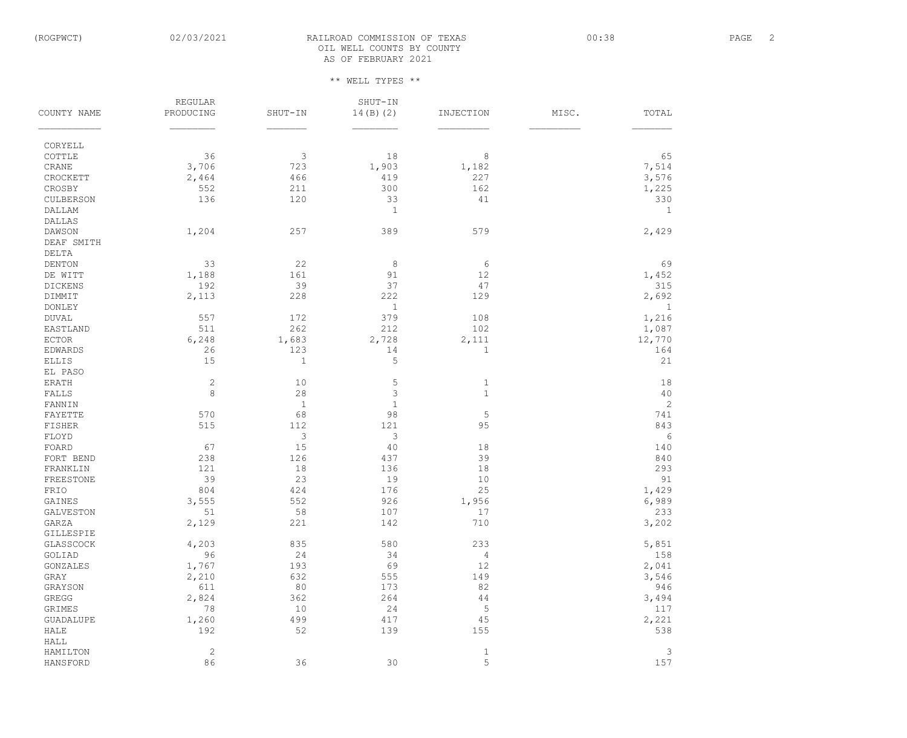# (ROGPWCT) 02/03/2021 RAILROAD COMMISSION OF TEXAS 00:38 00:38 PAGE 2 OIL WELL COUNTS BY COUNTY AS OF FEBRUARY 2021

|                  | <b>REGULAR</b> |                | SHUT-IN      |             |       |              |
|------------------|----------------|----------------|--------------|-------------|-------|--------------|
| COUNTY NAME      | PRODUCING      | SHUT-IN        | 14(B) (2)    | INJECTION   | MISC. | TOTAL        |
| CORYELL          |                |                |              |             |       |              |
| COTTLE           | 36             | 3              | 18           | $\,8\,$     |       | 65           |
| CRANE            | 3,706          | 723            | 1,903        | 1,182       |       | 7,514        |
| CROCKETT         | 2,464          | 466            | 419          | 227         |       | 3,576        |
| CROSBY           | 552            | 211            | 300          | 162         |       | 1,225        |
| CULBERSON        | 136            | 120            | 33           | 41          |       | 330          |
| DALLAM           |                |                | 1            |             |       | $\mathbf{1}$ |
| <b>DALLAS</b>    |                |                |              |             |       |              |
| DAWSON           | 1,204          | 257            | 389          | 579         |       | 2,429        |
| DEAF SMITH       |                |                |              |             |       |              |
| DELTA            |                |                |              |             |       |              |
| <b>DENTON</b>    | 33             | 22             | 8            | $\sqrt{6}$  |       | 69           |
| DE WITT          | 1,188          | 161            | 91           | 12          |       | 1,452        |
| <b>DICKENS</b>   | 192            | 39             | 37           | 47          |       | 315          |
| DIMMIT           | 2,113          | 228            | 222          | 129         |       | 2,692        |
| <b>DONLEY</b>    |                |                | 1            |             |       | 1            |
| <b>DUVAL</b>     | 557            | 172            | 379          | 108         |       | 1,216        |
| EASTLAND         | 511            | 262            | 212          | 102         |       | 1,087        |
| <b>ECTOR</b>     | 6,248          | 1,683          | 2,728        | 2,111       |       | 12,770       |
| <b>EDWARDS</b>   | 26             | 123            | 14           | 1           |       | 164          |
| <b>ELLIS</b>     | 15             | $\mathbf 1$    | 5            |             |       | 21           |
| EL PASO          |                |                |              |             |       |              |
| <b>ERATH</b>     | $\sqrt{2}$     | 10             | 5            | 1           |       | 18           |
| FALLS            | $\,8\,$        | 28             | 3            | $1\,$       |       | 40           |
| FANNIN           |                | $1\,$          | $\mathbf{1}$ |             |       | $\mathbf{2}$ |
| FAYETTE          | 570            | 68             | 98           | $\mathsf S$ |       | 741          |
| FISHER           | 515            | 112            | 121          | 95          |       | 843          |
| FLOYD            |                | $\mathfrak{Z}$ | $\mathsf 3$  |             |       | 6            |
| FOARD            | 67             | 15             | 40           | 18          |       | 140          |
| FORT BEND        | 238            | 126            | 437          | 39          |       | 840          |
| FRANKLIN         | 121            | 18             | 136          | 18          |       | 293          |
| FREESTONE        | 39             | 23             | 19           | 10          |       | 91           |
| FRIO             | 804            | 424            | 176          | 25          |       | 1,429        |
| GAINES           | 3,555          | 552            | 926          | 1,956       |       | 6,989        |
| <b>GALVESTON</b> | 51             | 58             | 107          | 17          |       | 233          |
| GARZA            | 2,129          | 221            | 142          | 710         |       | 3,202        |
| GILLESPIE        |                |                |              |             |       |              |
| GLASSCOCK        | 4,203          | 835            | 580          | 233         |       | 5,851        |
| GOLIAD           | 96             | 24             | 34           | $\sqrt{4}$  |       | 158          |
| GONZALES         | 1,767          | 193            | 69           | 12          |       | 2,041        |
| GRAY             | 2,210          | 632            | 555          | 149         |       | 3,546        |
| GRAYSON          | 611            | 80             | 173          | 82          |       | 946          |
| GREGG            | 2,824          | 362            | 264          | $4\,4$      |       | 3,494        |
| GRIMES           | 78             | 10             | 24           | 5           |       | 117          |
| <b>GUADALUPE</b> | 1,260          | 499            | 417          | 45          |       | 2,221        |
| HALE             | 192            | 52             | 139          | 155         |       | 538          |
| HALL             |                |                |              |             |       |              |
| HAMILTON         | $\mathbf{2}$   |                |              | $\mathbf 1$ |       | $\mathsf 3$  |
| HANSFORD         | 86             | 36             | 30           | 5           |       | 157          |
|                  |                |                |              |             |       |              |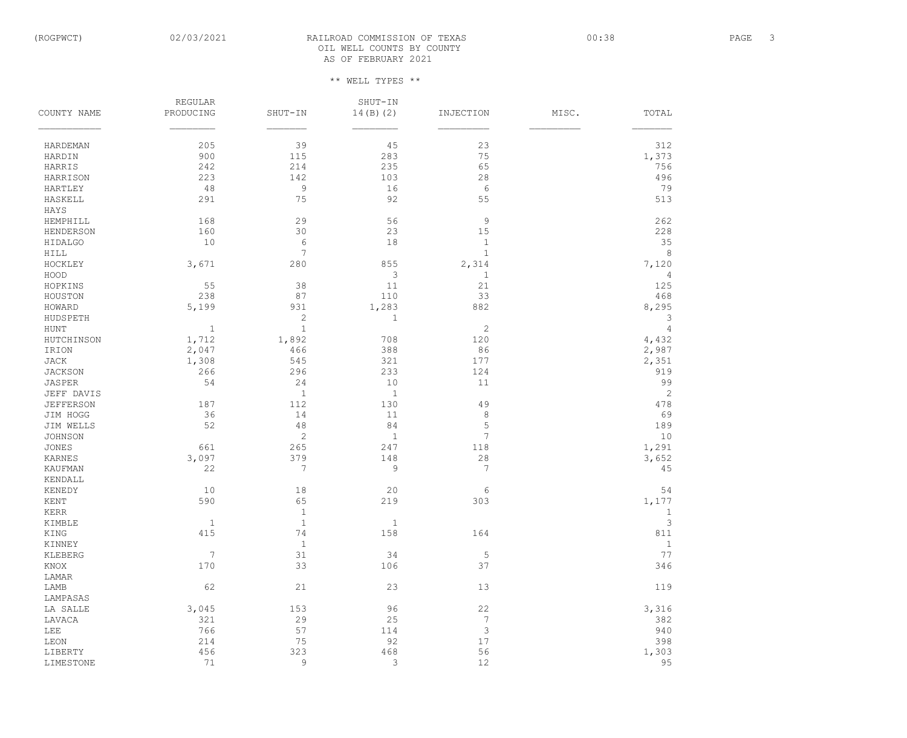# (ROGPWCT) 02/03/2021 RAILROAD COMMISSION OF TEXAS 00:38 00:38 PAGE 3 OIL WELL COUNTS BY COUNTY AS OF FEBRUARY 2021

|                   | <b>REGULAR</b> |                | SHUT-IN        |                  |       |                               |
|-------------------|----------------|----------------|----------------|------------------|-------|-------------------------------|
| COUNTY NAME       | PRODUCING      | SHUT-IN        | 14(B) (2)      | INJECTION        | MISC. | TOTAL                         |
|                   |                |                |                |                  |       |                               |
| HARDEMAN          | 205            | 39             | 45             | 23               |       | 312                           |
| HARDIN            | 900            | 115            | 283            | 75               |       | 1,373                         |
| HARRIS            | 242            | 214            | 235            | 65               |       | 756                           |
| HARRISON          | 223            | 142            | 103            | 28               |       | 496                           |
| HARTLEY           | 48             | $\mathsf 9$    | 16             | $\sqrt{6}$       |       | 79                            |
| HASKELL           | 291            | 75             | 92             | 55               |       | 513                           |
| HAYS              |                |                |                |                  |       |                               |
| HEMPHILL          | 168            | 29             | 56             | $\mathsf 9$      |       | 262                           |
| <b>HENDERSON</b>  | 160            | 30             | 23             | $15\,$           |       | 228                           |
| HIDALGO           | 10             | $\epsilon$     | 18             | $1\,$            |       | 35                            |
| HILL              |                | 7              |                | $1\,$            |       | 8                             |
| HOCKLEY           | 3,671          | 280            | 855            | 2,314            |       | 7,120                         |
| HOOD              |                |                | $\mathsf 3$    | 1                |       | 4                             |
| HOPKINS           | 55             | 38             | 11             | 21               |       | 125                           |
| HOUSTON           | 238            | 87             | 110            | 33               |       | 468                           |
| HOWARD            | 5,199          | 931            | 1,283          | 882              |       | 8,295                         |
| HUDSPETH          |                | $\mathbf{2}$   | $\mathbf 1$    |                  |       | 3                             |
| HUNT              | $\mathbf{1}$   | $1\,$          |                | $\mathbf{2}$     |       | $\overline{4}$                |
| HUTCHINSON        | 1,712          | 1,892          | 708            | 120              |       | 4,432                         |
| IRION             | 2,047          | 466            | 388            | 86               |       | 2,987                         |
| JACK              | 1,308          | 545            | 321            | 177              |       | 2,351                         |
| <b>JACKSON</b>    | 266            | 296            | 233            | 124              |       | 919                           |
| JASPER            | 54             | 24             | 10             | 11               |       | 99                            |
| JEFF DAVIS        |                | $1\,$          | $1\,$          |                  |       | $\mathbf{2}$                  |
| <b>JEFFERSON</b>  | 187            | 112            | 130            | 49               |       | 478                           |
| JIM HOGG          | 36             | 14             | 11             | $\,8\,$          |       | 69                            |
| JIM WELLS         | 52             | $4\,8$         | 84             | 5                |       | 189                           |
| <b>JOHNSON</b>    |                | $\overline{c}$ | $1\,$          | $\overline{7}$   |       | 10                            |
| <b>JONES</b>      | 661            | 265            | 247            | 118              |       | 1,291                         |
| KARNES            | 3,097          | 379            | 148            | $2\,8$           |       | 3,652                         |
| <b>KAUFMAN</b>    | 22             | $\overline{7}$ | 9              | $\overline{7}$   |       |                               |
|                   |                |                |                |                  |       | 45                            |
| KENDALL<br>KENEDY | 10             | 18             | 20             |                  |       | 54                            |
| KENT              | 590            | 65             | 219            | 6<br>303         |       | 1,177                         |
|                   |                |                |                |                  |       |                               |
| $\verb KERR $     |                | $\mathbf{1}$   |                |                  |       | $\mathbf 1$<br>$\mathfrak{Z}$ |
| KIMBLE            | $1\,$          | $\,1\,$        | $\mathbf{1}$   |                  |       |                               |
| KING              | 415            | 74             | 158            | 164              |       | 811                           |
| KINNEY            |                | $1\,$          |                |                  |       | $1\,$                         |
| KLEBERG           | $\overline{7}$ | 31             | 34             | $\mathsf S$      |       | 77                            |
| KNOX              | 170            | 33             | 106            | 37               |       | 346                           |
| LAMAR             |                |                |                |                  |       |                               |
| LAMB              | 62             | 21             | 23             | 13               |       | 119                           |
| LAMPASAS          |                |                |                |                  |       |                               |
| LA SALLE          | 3,045          | 153            | 96             | 22               |       | 3,316                         |
| LAVACA            | 321            | 29             | 25             | $\boldsymbol{7}$ |       | 382                           |
| LEE               | 766            | 57             | 114            | $\mathfrak{Z}$   |       | 940                           |
| $\tt LEON$        | 214            | 75             | 92             | 17               |       | 398                           |
| LIBERTY           | 456            | 323            | 468            | 56               |       | 1,303                         |
| LIMESTONE         | 71             | 9              | $\mathfrak{Z}$ | 12               |       | 95                            |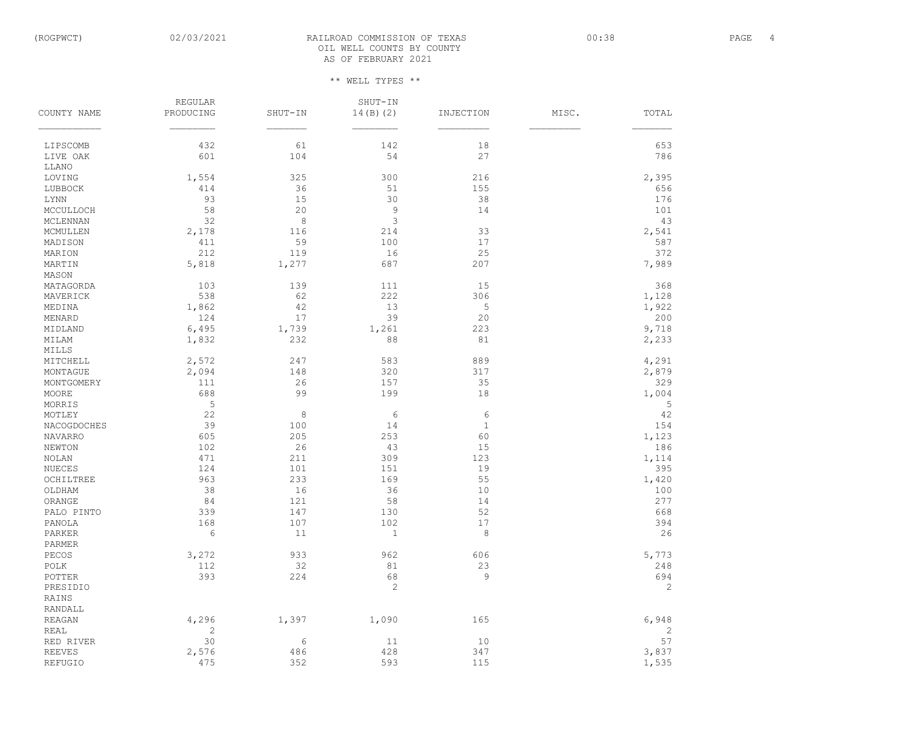# (ROGPWCT) 02/03/2021 RAILROAD COMMISSION OF TEXAS 00:38 00:38 PAGE 4 OIL WELL COUNTS BY COUNTY AS OF FEBRUARY 2021

|                   | REGULAR      |            | SHUT-IN      |             |       |              |
|-------------------|--------------|------------|--------------|-------------|-------|--------------|
| COUNTY NAME       | PRODUCING    | SHUT-IN    | 14(B) (2)    | INJECTION   | MISC. | TOTAL        |
| LIPSCOMB          | 432          | 61         | 142          | 18          |       | 653          |
| LIVE OAK          | 601          | 104        | 54           | 27          |       | 786          |
| LLANO             |              |            |              |             |       |              |
| LOVING            | 1,554        | 325        | 300          | 216         |       | 2,395        |
| LUBBOCK           | 414          | 36         | 51           | 155         |       | 656          |
| $\rm LYNN$        | 93           | 15         | 30           | 38          |       | 176          |
| MCCULLOCH         | 58           | 20         | $\mathsf 9$  | 14          |       | 101          |
| MCLENNAN          | 32           | $\,8\,$    | $\mathsf 3$  |             |       | 43           |
| MCMULLEN          | 2,178        | 116        | 214          | 33          |       | 2,541        |
| MADISON           | 411          | 59         | 100          | 17          |       | 587          |
| MARION            | 212          | 119        | 16           | 25          |       | 372          |
| MARTIN            | 5,818        | 1,277      | 687          | 207         |       | 7,989        |
| MASON             |              |            |              |             |       |              |
| MATAGORDA         | 103          | 139        | 111          | 15          |       | 368          |
| MAVERICK          | 538          | 62         | 222          | 306         |       | 1,128        |
| MEDINA            | 1,862        | 42         | 13           | 5           |       | 1,922        |
| MENARD            | 124          | 17         | 39           | 20          |       | 200          |
| MIDLAND           | 6,495        | 1,739      | 1,261        | 223         |       | 9,718        |
| MILAM             |              | 232        | 88           | 81          |       |              |
| MILLS             | 1,832        |            |              |             |       | 2,233        |
|                   |              |            |              |             |       |              |
| MITCHELL          | 2,572        | 247        | 583          | 889         |       | 4,291        |
| MONTAGUE          | 2,094        | 148        | 320          | 317         |       | 2,879        |
| MONTGOMERY        | 111          | 26         | 157          | 35          |       | 329          |
| MOORE             | 688          | 99         | 199          | 18          |       | 1,004        |
| MORRIS            | 5            |            |              |             |       | 5            |
| MOTLEY            | 22           | $\,8\,$    | $6\,$        | 6           |       | 42           |
| NACOGDOCHES       | 39           | 100        | 14           | $\mathbf 1$ |       | 154          |
| <b>NAVARRO</b>    | 605          | 205        | 253          | 60          |       | 1,123        |
| <b>NEWTON</b>     | 102          | 26         | 43           | 15          |       | 186          |
| NOLAN             | 471          | 211        | 309          | 123         |       | 1,114        |
| NUECES            | 124          | 101        | 151          | 19          |       | 395          |
| OCHILTREE         | 963          | 233        | 169          | 55          |       | 1,420        |
| OLDHAM            | 38           | 16         | 36           | 10          |       | 100          |
| ORANGE            | 84           | 121        | 58           | 14          |       | 277          |
| PALO PINTO        | 339          | 147        | 130          | 52          |       | 668          |
| PANOLA            | 168          | 107        | 102          | 17          |       | 394          |
| PARKER            | $\epsilon$   | 11         | $\mathbf{1}$ | $\,8\,$     |       | 26           |
| PARMER            |              |            |              |             |       |              |
| PECOS             | 3,272        | 933        | 962          | 606         |       | 5,773        |
| $\texttt{POLK}{}$ | 112          | 32         | 81           | 23          |       | 248          |
| POTTER            | 393          | 224        | 68           | $\mathsf 9$ |       | 694          |
| PRESIDIO          |              |            | $\mathbf{2}$ |             |       | $\mathbf{2}$ |
| RAINS             |              |            |              |             |       |              |
| RANDALL           |              |            |              |             |       |              |
| <b>REAGAN</b>     | 4,296        | 1,397      | 1,090        | 165         |       | 6,948        |
| <b>REAL</b>       | $\mathbf{2}$ |            |              |             |       | $\mathbf{2}$ |
| RED RIVER         | 30           | $\epsilon$ | 11           | 10          |       | 57           |
| <b>REEVES</b>     | 2,576        | 486        | 428          | 347         |       | 3,837        |
| REFUGIO           | 475          | 352        | 593          | 115         |       | 1,535        |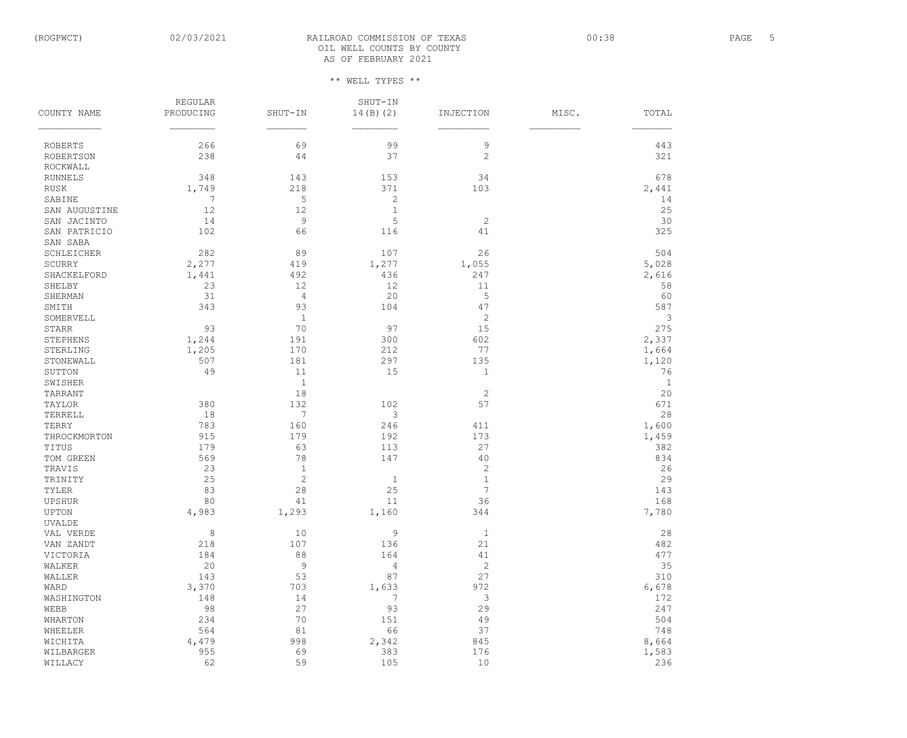# (ROGPWCT) 02/03/2021 RAILROAD COMMISSION OF TEXAS 00:38 00:38 PAGE 5 OIL WELL COUNTS BY COUNTY AS OF FEBRUARY 2021

|                          | <b>REGULAR</b> |                | SHUT-IN      |                |       |              |
|--------------------------|----------------|----------------|--------------|----------------|-------|--------------|
| COUNTY NAME              | PRODUCING      | $SHUT-TN$      | 14(B) (2)    | INJECTION      | MISC. | TOTAL        |
|                          |                |                |              |                |       |              |
| <b>ROBERTS</b>           | 266            | 69             | 99           | $\mathsf 9$    |       | 443          |
| <b>ROBERTSON</b>         | 238            | 44             | 37           | $\mathbf{2}$   |       | 321          |
| ROCKWALL                 |                |                |              |                |       |              |
| <b>RUNNELS</b>           | 348            | 143            | 153          | 34             |       | 678          |
| <b>RUSK</b>              | 1,749          | 218            | 371          | 103            |       | 2,441        |
| SABINE                   | 7              | 5              | $\sqrt{2}$   |                |       | 14           |
| SAN AUGUSTINE            | 12             | 12             | $1\,$        |                |       | 25           |
| SAN JACINTO              | 14             | 9              | 5            | $\mathbf{2}$   |       | 30           |
| SAN PATRICIO<br>SAN SABA | 102            | 66             | 116          | 41             |       | 325          |
| SCHLEICHER               | 282            | 89             | 107          | 26             |       | 504          |
| SCURRY                   | 2,277          | 419            | 1,277        | 1,055          |       | 5,028        |
| SHACKELFORD              | 1,441          | 492            | 436          | 247            |       | 2,616        |
| SHELBY                   | 23             | 12             | 12           | 11             |       | 58           |
| SHERMAN                  | 31             | $\sqrt{4}$     | 20           | 5              |       | 60           |
| SMITH                    | 343            | 93             | 104          | 47             |       | 587          |
| SOMERVELL                |                | $\mathbf{1}$   |              | $\mathbf{2}$   |       | 3            |
| STARR                    | 93             | 70             | 97           | 15             |       | 275          |
| <b>STEPHENS</b>          | 1,244          | 191            | 300          | 602            |       | 2,337        |
| STERLING                 | 1,205          | 170            | 212          | 77             |       | 1,664        |
| STONEWALL                | 507            | 181            | 297          | 135            |       | 1,120        |
| SUTTON                   | 49             | 11             | 15           | 1              |       | 76           |
| SWISHER                  |                | $\mathbf{1}$   |              |                |       | $\mathbf{1}$ |
| TARRANT                  |                | 18             |              | $\mathbf{2}$   |       | 20           |
| TAYLOR                   | 380            | 132            | 102          | 57             |       | 671          |
| TERRELL                  | 18             | $\overline{7}$ | $\mathsf 3$  |                |       | 28           |
| TERRY                    | 783            | 160            | 246          | 411            |       | 1,600        |
| THROCKMORTON             | 915            | 179            | 192          | 173            |       | 1,459        |
| TITUS                    | 179            | 63             | 113          | 27             |       | 382          |
| TOM GREEN                | 569            | 78             | 147          | 40             |       | 834          |
| TRAVIS                   | 23             | $\mathbf{1}$   |              | $\sqrt{2}$     |       | 26           |
| TRINITY                  | 25             | $\sqrt{2}$     | $\mathbf{1}$ | $\mathbf{1}$   |       | 29           |
| TYLER                    | 83             | 28             | 25           | 7              |       | 143          |
| UPSHUR                   | 80             | 41             | 11           | 36             |       | 168          |
| UPTON                    | 4,983          | 1,293          | 1,160        | 344            |       | 7,780        |
| <b>UVALDE</b>            |                |                |              |                |       |              |
| VAL VERDE                | $\,8\,$        | 10             | $\mathsf 9$  | $\mathbf{1}$   |       | 28           |
| VAN ZANDT                | 218            | 107            | 136          | $21$           |       | 482          |
| VICTORIA                 | 184            | $8\,8$         | 164          | $4\,1$         |       | 477          |
| WALKER                   | 20             | $\overline{9}$ | $\sqrt{4}$   | $\mathbf{2}$   |       | 35           |
| WALLER                   | 143            | 53             | 87           | 27             |       | 310          |
| WARD                     | 3,370          | 703            | 1,633        | 972            |       | 6,678        |
| WASHINGTON               | 148            | 14             | 7            | $\mathfrak{Z}$ |       | 172          |
| WEBB                     | 98             | 27             | 93           | 29             |       | 247          |
| WHARTON                  | 234            | 70             | 151          | 49             |       | 504          |
| WHEELER                  | 564            | 81             | 66           | 37             |       | 748          |
| WICHITA                  | 4,479          | 998            | 2,342        | 845            |       | 8,664        |
| WILBARGER                | 955            | 69             | 383          | 176            |       | 1,583        |
| WILLACY                  | 62             | 59             | 105          | $10$           |       | 236          |